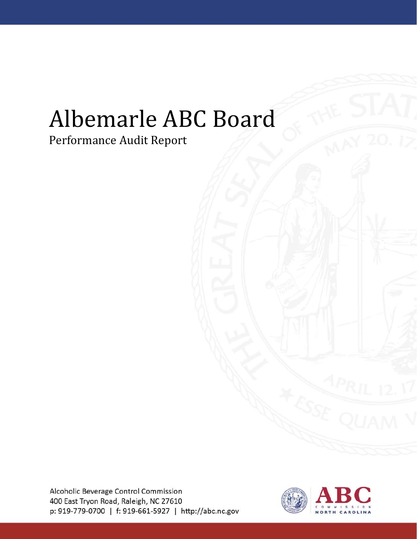# Albemarle ABC Board

# Performance Audit Report

Alcoholic Beverage Control Commission 400 East Tryon Road, Raleigh, NC 27610 p: 919-779-0700 | f: 919-661-5927 | http://abc.nc.gov

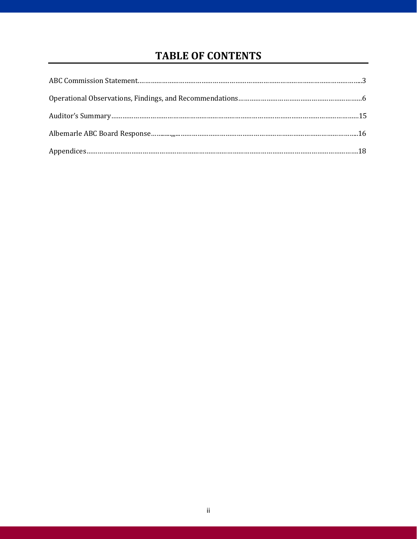## **TABLE OF CONTENTS**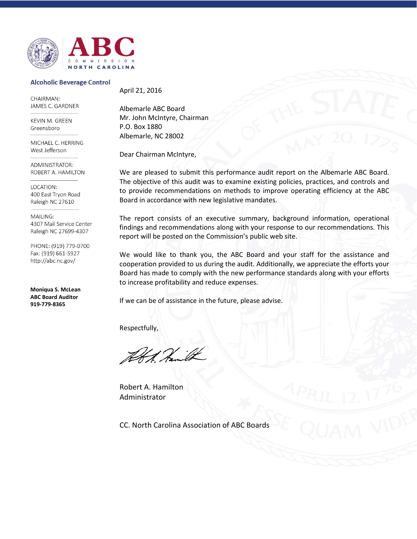

#### **Alcoholic Beverage Control**

CHAIRMAN: JAMES C. GARDNER

**KEVIN M. GREEN** Greensboro

MICHAEL C. HERRING West Jefferson

ADMINISTRATOR: ROBERT A. HAMILTON

LOCATION: 400 East Tryon Road Raleigh NC 27610

MAILING: 4307 Mail Service Center Raleigh NC 27699-4307

PHONE: (919) 779-0700 Fax: (919) 661-5927 http://abc.nc.gov/

**Moniqua S. McLean ABC Board Auditor 919-779-8365**

April 21, 2016

Albemarle ABC Board Mr. John McIntyre, Chairman P.O. Box 1880 Albemarle, NC 28002

Dear Chairman McIntyre,

We are pleased to submit this performance audit report on the Albemarle ABC Board. The objective of this audit was to examine existing policies, practices, and controls and to provide recommendations on methods to improve operating efficiency at the ABC Board in accordance with new legislative mandates.

The report consists of an executive summary, background information, operational findings and recommendations along with your response to our recommendations. This report will be posted on the Commission's public web site.

We would like to thank you, the ABC Board and your staff for the assistance and cooperation provided to us during the audit. Additionally, we appreciate the efforts your Board has made to comply with the new performance standards along with your efforts to increase profitability and reduce expenses.

If we can be of assistance in the future, please advise.

Respectfully,

Robert A. Hamilton Administrator

CC. North Carolina Association of ABC Boards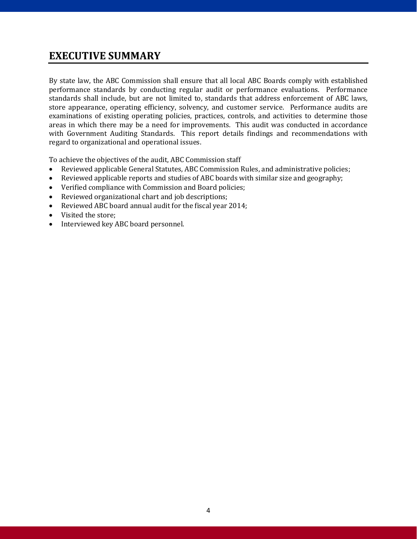## **EXECUTIVE SUMMARY**

By state law, the ABC Commission shall ensure that all local ABC Boards comply with established performance standards by conducting regular audit or performance evaluations. Performance standards shall include, but are not limited to, standards that address enforcement of ABC laws, store appearance, operating efficiency, solvency, and customer service. Performance audits are examinations of existing operating policies, practices, controls, and activities to determine those areas in which there may be a need for improvements. This audit was conducted in accordance with Government Auditing Standards. This report details findings and recommendations with regard to organizational and operational issues.

To achieve the objectives of the audit, ABC Commission staff

- Reviewed applicable General Statutes, ABC Commission Rules, and administrative policies;
- Reviewed applicable reports and studies of ABC boards with similar size and geography;
- Verified compliance with Commission and Board policies;
- Reviewed organizational chart and job descriptions;
- Reviewed ABC board annual audit for the fiscal year 2014;
- Visited the store;<br>• Interviewed key /
- Interviewed key ABC board personnel.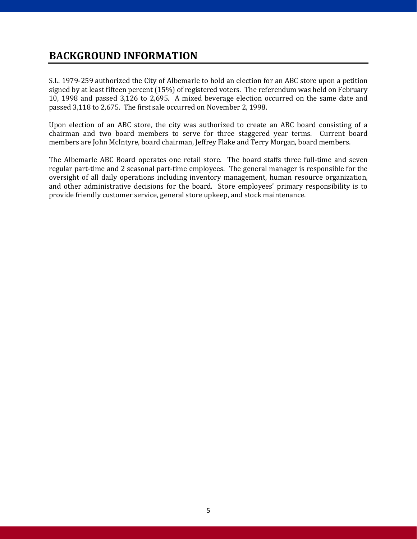## **BACKGROUND INFORMATION**

S.L. 1979-259 authorized the City of Albemarle to hold an election for an ABC store upon a petition signed by at least fifteen percent (15%) of registered voters. The referendum was held on February 10, 1998 and passed 3,126 to 2,695. A mixed beverage election occurred on the same date and passed 3,118 to 2,675. The first sale occurred on November 2, 1998.

Upon election of an ABC store, the city was authorized to create an ABC board consisting of a chairman and two board members to serve for three staggered year terms. Current board members are John McIntyre, board chairman, Jeffrey Flake and Terry Morgan, board members.

The Albemarle ABC Board operates one retail store. The board staffs three full-time and seven regular part-time and 2 seasonal part-time employees. The general manager is responsible for the oversight of all daily operations including inventory management, human resource organization, and other administrative decisions for the board. Store employees' primary responsibility is to provide friendly customer service, general store upkeep, and stock maintenance.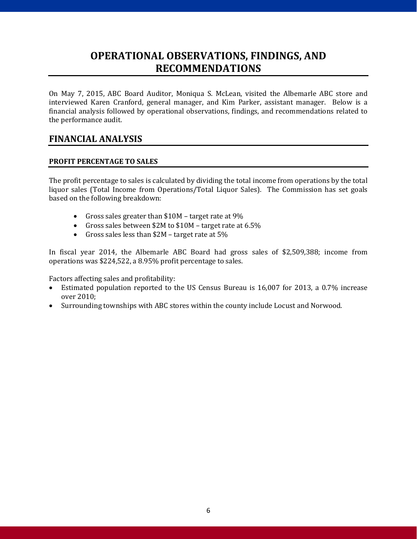## **OPERATIONAL OBSERVATIONS, FINDINGS, AND RECOMMENDATIONS**

On May 7, 2015, ABC Board Auditor, Moniqua S. McLean, visited the Albemarle ABC store and interviewed Karen Cranford, general manager, and Kim Parker, assistant manager. Below is a financial analysis followed by operational observations, findings, and recommendations related to the performance audit.

#### **FINANCIAL ANALYSIS**

#### **PROFIT PERCENTAGE TO SALES**

The profit percentage to sales is calculated by dividing the total income from operations by the total liquor sales (Total Income from Operations/Total Liquor Sales). The Commission has set goals based on the following breakdown:

- Gross sales greater than \$10M target rate at 9%
- Gross sales between \$2M to \$10M target rate at 6.5%
- Gross sales less than \$2M target rate at 5%

In fiscal year 2014, the Albemarle ABC Board had gross sales of \$2,509,388; income from operations was \$224,522, a 8.95% profit percentage to sales.

Factors affecting sales and profitability:<br>• Estimated population reported to the

- Estimated population reported to the US Census Bureau is 16,007 for 2013, a 0.7% increase over 2010;
- Surrounding townships with ABC stores within the county include Locust and Norwood.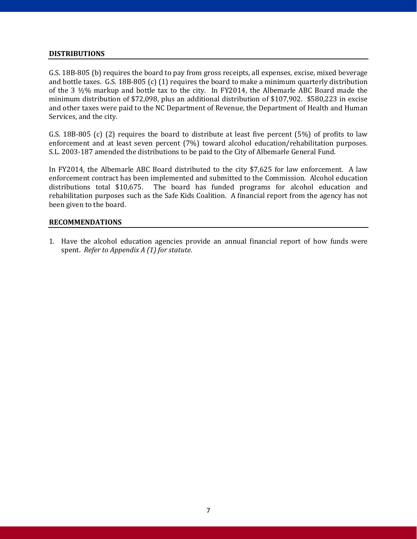#### **DISTRIBUTIONS**

G.S. 18B-805 (b) requires the board to pay from gross receipts, all expenses, excise, mixed beverage and bottle taxes. G.S. 18B-805 (c) (1) requires the board to make a minimum quarterly distribution of the 3 ½% markup and bottle tax to the city. In FY2014, the Albemarle ABC Board made the minimum distribution of \$72,098, plus an additional distribution of \$107,902. \$580,223 in excise and other taxes were paid to the NC Department of Revenue, the Department of Health and Human Services, and the city.

G.S. 18B-805 (c) (2) requires the board to distribute at least five percent (5%) of profits to law enforcement and at least seven percent (7%) toward alcohol education/rehabilitation purposes. S.L. 2003-187 amended the distributions to be paid to the City of Albemarle General Fund.

In FY2014, the Albemarle ABC Board distributed to the city \$7,625 for law enforcement. A law enforcement contract has been implemented and submitted to the Commission. Alcohol education distributions total \$10,675. The board has funded programs for alcohol education and The board has funded programs for alcohol education and rehabilitation purposes such as the Safe Kids Coalition. A financial report from the agency has not been given to the board.

#### **RECOMMENDATIONS**

1. Have the alcohol education agencies provide an annual financial report of how funds were spent. *Refer to Appendix A (1) for statute.*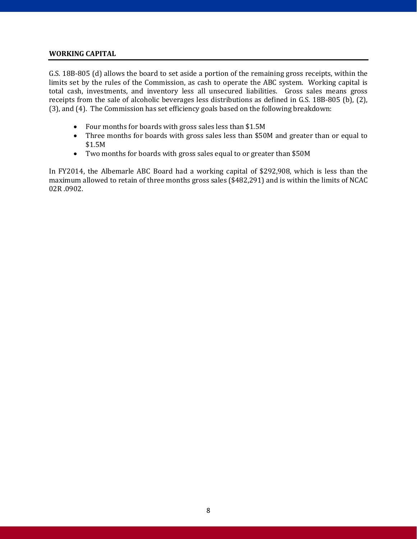#### **WORKING CAPITAL**

G.S. 18B-805 (d) allows the board to set aside a portion of the remaining gross receipts, within the limits set by the rules of the Commission, as cash to operate the ABC system. Working capital is total cash, investments, and inventory less all unsecured liabilities. Gross sales means gross receipts from the sale of alcoholic beverages less distributions as defined in G.S. 18B-805 (b), (2), (3), and (4). The Commission has set efficiency goals based on the following breakdown:

- Four months for boards with gross sales less than \$1.5M
- Three months for boards with gross sales less than \$50M and greater than or equal to \$1.5M
- Two months for boards with gross sales equal to or greater than \$50M

In FY2014, the Albemarle ABC Board had a working capital of \$292,908, which is less than the maximum allowed to retain of three months gross sales (\$482,291) and is within the limits of NCAC 02R .0902.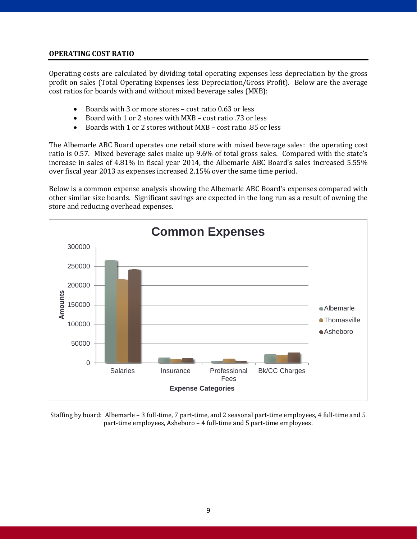#### **OPERATING COST RATIO**

Operating costs are calculated by dividing total operating expenses less depreciation by the gross profit on sales (Total Operating Expenses less Depreciation/Gross Profit). Below are the average cost ratios for boards with and without mixed beverage sales (MXB):

- Boards with 3 or more stores cost ratio 0.63 or less<br>• Board with 1 or 2 stores with MXB cost ratio .73 or l
- Board with 1 or 2 stores with MXB cost ratio .73 or less
- Boards with 1 or 2 stores without MXB cost ratio .85 or less

The Albemarle ABC Board operates one retail store with mixed beverage sales: the operating cost ratio is 0.57. Mixed beverage sales make up 9.6% of total gross sales. Compared with the state's increase in sales of 4.81% in fiscal year 2014, the Albemarle ABC Board's sales increased 5.55% over fiscal year 2013 as expenses increased 2.15% over the same time period.

Below is a common expense analysis showing the Albemarle ABC Board's expenses compared with other similar size boards. Significant savings are expected in the long run as a result of owning the store and reducing overhead expenses.



Staffing by board: Albemarle – 3 full-time, 7 part-time, and 2 seasonal part-time employees, 4 full-time and 5 part-time employees, Asheboro – 4 full-time and 5 part-time employees.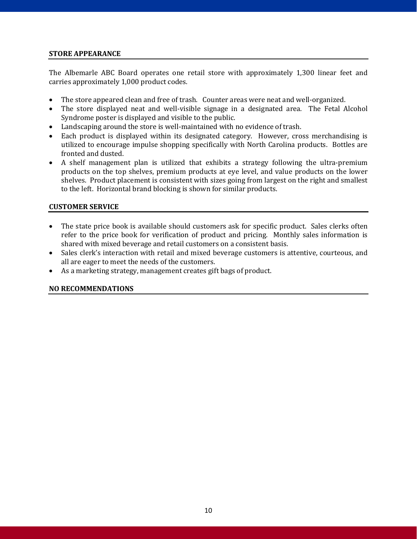#### **STORE APPEARANCE**

The Albemarle ABC Board operates one retail store with approximately 1,300 linear feet and carries approximately 1,000 product codes.

- The store appeared clean and free of trash. Counter areas were neat and well-organized.
- The store displayed neat and well-visible signage in a designated area. The Fetal Alcohol Syndrome poster is displayed and visible to the public.
- Landscaping around the store is well-maintained with no evidence of trash.
- Each product is displayed within its designated category. However, cross merchandising is utilized to encourage impulse shopping specifically with North Carolina products. Bottles are fronted and dusted.
- A shelf management plan is utilized that exhibits a strategy following the ultra-premium products on the top shelves, premium products at eye level, and value products on the lower shelves. Product placement is consistent with sizes going from largest on the right and smallest to the left. Horizontal brand blocking is shown for similar products.

#### **CUSTOMER SERVICE**

- The state price book is available should customers ask for specific product. Sales clerks often refer to the price book for verification of product and pricing. Monthly sales information is shared with mixed beverage and retail customers on a consistent basis.
- Sales clerk's interaction with retail and mixed beverage customers is attentive, courteous, and all are eager to meet the needs of the customers.
- As a marketing strategy, management creates gift bags of product.

#### **NO RECOMMENDATIONS**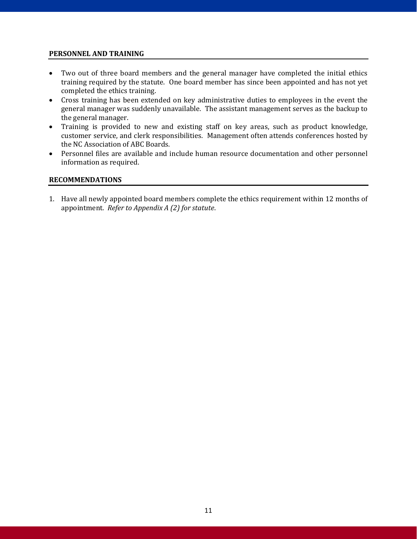#### **PERSONNEL AND TRAINING**

- Two out of three board members and the general manager have completed the initial ethics training required by the statute. One board member has since been appointed and has not yet completed the ethics training.
- Cross training has been extended on key administrative duties to employees in the event the general manager was suddenly unavailable. The assistant management serves as the backup to the general manager.
- Training is provided to new and existing staff on key areas, such as product knowledge, customer service, and clerk responsibilities. Management often attends conferences hosted by the NC Association of ABC Boards.
- Personnel files are available and include human resource documentation and other personnel information as required.

#### **RECOMMENDATIONS**

1. Have all newly appointed board members complete the ethics requirement within 12 months of appointment. *Refer to Appendix A (2) for statute*.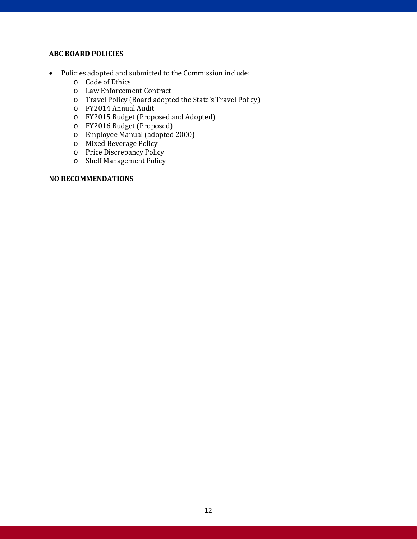#### **ABC BOARD POLICIES**

- Policies adopted and submitted to the Commission include:
	- o Code of Ethics
	- o Law Enforcement Contract
	- o Travel Policy (Board adopted the State's Travel Policy)
	- o FY2014 Annual Audit
	- o FY2015 Budget (Proposed and Adopted)
	- o FY2016 Budget (Proposed)
	- o Employee Manual (adopted 2000)
	- o Mixed Beverage Policy
	- o Price Discrepancy Policy
	- o Shelf Management Policy

#### **NO RECOMMENDATIONS**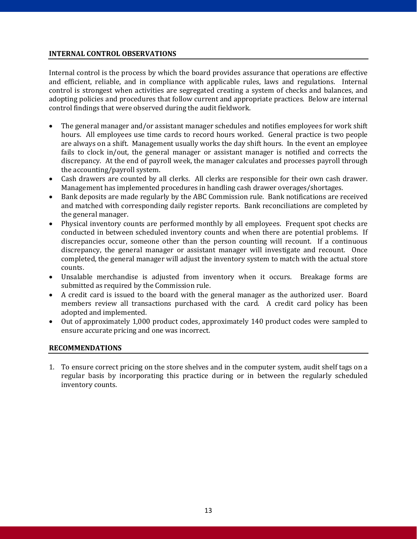#### **INTERNAL CONTROL OBSERVATIONS**

Internal control is the process by which the board provides assurance that operations are effective and efficient, reliable, and in compliance with applicable rules, laws and regulations. Internal control is strongest when activities are segregated creating a system of checks and balances, and adopting policies and procedures that follow current and appropriate practices. Below are internal control findings that were observed during the audit fieldwork.

- The general manager and/or assistant manager schedules and notifies employees for work shift hours. All employees use time cards to record hours worked. General practice is two people are always on a shift. Management usually works the day shift hours. In the event an employee fails to clock in/out, the general manager or assistant manager is notified and corrects the discrepancy. At the end of payroll week, the manager calculates and processes payroll through the accounting/payroll system.
- Cash drawers are counted by all clerks. All clerks are responsible for their own cash drawer. Management has implemented procedures in handling cash drawer overages/shortages.
- Bank deposits are made regularly by the ABC Commission rule. Bank notifications are received and matched with corresponding daily register reports. Bank reconciliations are completed by the general manager.
- Physical inventory counts are performed monthly by all employees. Frequent spot checks are conducted in between scheduled inventory counts and when there are potential problems. If discrepancies occur, someone other than the person counting will recount. If a continuous discrepancy, the general manager or assistant manager will investigate and recount. Once completed, the general manager will adjust the inventory system to match with the actual store counts.
- Unsalable merchandise is adjusted from inventory when it occurs. Breakage forms are submitted as required by the Commission rule.
- A credit card is issued to the board with the general manager as the authorized user. Board members review all transactions purchased with the card. A credit card policy has been adopted and implemented.
- Out of approximately 1,000 product codes, approximately 140 product codes were sampled to ensure accurate pricing and one was incorrect.

#### **RECOMMENDATIONS**

1. To ensure correct pricing on the store shelves and in the computer system, audit shelf tags on a regular basis by incorporating this practice during or in between the regularly scheduled inventory counts.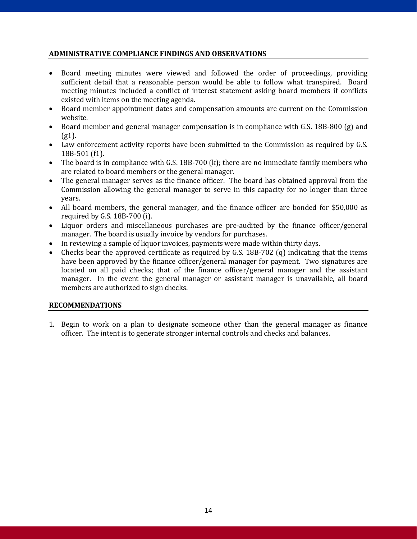#### **ADMINISTRATIVE COMPLIANCE FINDINGS AND OBSERVATIONS**

- Board meeting minutes were viewed and followed the order of proceedings, providing sufficient detail that a reasonable person would be able to follow what transpired. Board meeting minutes included a conflict of interest statement asking board members if conflicts existed with items on the meeting agenda.
- Board member appointment dates and compensation amounts are current on the Commission website.
- Board member and general manager compensation is in compliance with G.S. 18B-800 (g) and  $(g1)$ .
- Law enforcement activity reports have been submitted to the Commission as required by G.S. 18B-501 (f1).
- The board is in compliance with G.S. 18B-700 (k); there are no immediate family members who are related to board members or the general manager.
- The general manager serves as the finance officer. The board has obtained approval from the Commission allowing the general manager to serve in this capacity for no longer than three years.
- All board members, the general manager, and the finance officer are bonded for \$50,000 as required by G.S. 18B-700 (i).
- Liquor orders and miscellaneous purchases are pre-audited by the finance officer/general manager. The board is usually invoice by vendors for purchases.
- In reviewing a sample of liquor invoices, payments were made within thirty days.
- Checks bear the approved certificate as required by G.S. 18B-702 (q) indicating that the items have been approved by the finance officer/general manager for payment. Two signatures are located on all paid checks; that of the finance officer/general manager and the assistant manager. In the event the general manager or assistant manager is unavailable, all board members are authorized to sign checks.

#### **RECOMMENDATIONS**

1. Begin to work on a plan to designate someone other than the general manager as finance officer. The intent is to generate stronger internal controls and checks and balances.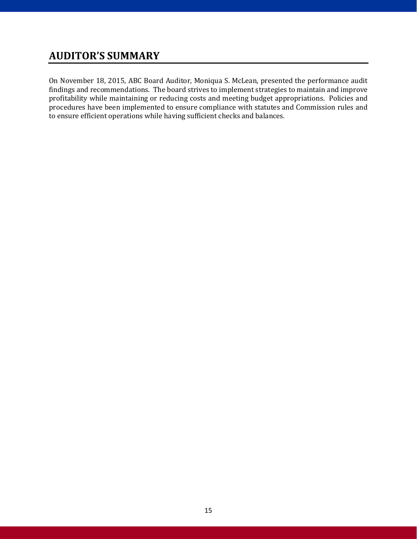## **AUDITOR'S SUMMARY**

On November 18, 2015, ABC Board Auditor, Moniqua S. McLean, presented the performance audit findings and recommendations. The board strives to implement strategies to maintain and improve profitability while maintaining or reducing costs and meeting budget appropriations. Policies and procedures have been implemented to ensure compliance with statutes and Commission rules and to ensure efficient operations while having sufficient checks and balances.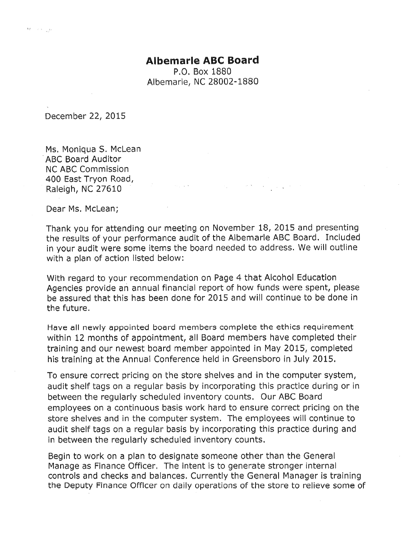#### **Albemarle ABC Board**

P.O. Box 1880 Albemarle, NC 28002-1880

December 22, 2015

 $\delta F = (x, y)_{\alpha \in \mathbb{Z}} y$ 

Ms. Moniqua S. McLean **ABC Board Auditor NC ABC Commission** 400 East Tryon Road, Raleigh, NC 27610

Dear Ms. McLean;

Thank you for attending our meeting on November 18, 2015 and presenting the results of your performance audit of the Albemarle ABC Board. Included in your audit were some items the board needed to address. We will outline with a plan of action listed below:

 $\mathcal{O}_{\mathcal{A}}(\mathcal{A},\mathcal{B}) = \mathcal{O}_{\mathcal{A}}(\mathcal{A},\mathcal{A}) = \mathcal{O}_{\mathcal{A}}(\mathcal{A},\mathcal{A}) = \mathcal{O}_{\mathcal{A}}(\mathcal{A},\mathcal{B}) = \mathcal{O}_{\mathcal{A}}(\mathcal{A},\mathcal{A}) = \mathcal{O}_{\mathcal{A}}(\mathcal{A},\mathcal{B}) = \mathcal{O}_{\mathcal{A}}(\mathcal{A},\mathcal{B})$ 

With regard to your recommendation on Page 4 that Alcohol Education Agencies provide an annual financial report of how funds were spent, please be assured that this has been done for 2015 and will continue to be done in the future.

Have all newly appointed board members complete the ethics requirement within 12 months of appointment, all Board members have completed their training and our newest board member appointed in May 2015, completed his training at the Annual Conference held in Greensboro in July 2015.

To ensure correct pricing on the store shelves and in the computer system, audit shelf tags on a regular basis by incorporating this practice during or in between the regularly scheduled inventory counts. Our ABC Board employees on a continuous basis work hard to ensure correct pricing on the store shelves and in the computer system. The employees will continue to audit shelf tags on a regular basis by incorporating this practice during and in between the regularly scheduled inventory counts.

Begin to work on a plan to designate someone other than the General Manage as Finance Officer. The intent is to generate stronger internal controls and checks and balances. Currently the General Manager is training the Deputy Finance Officer on daily operations of the store to relieve some of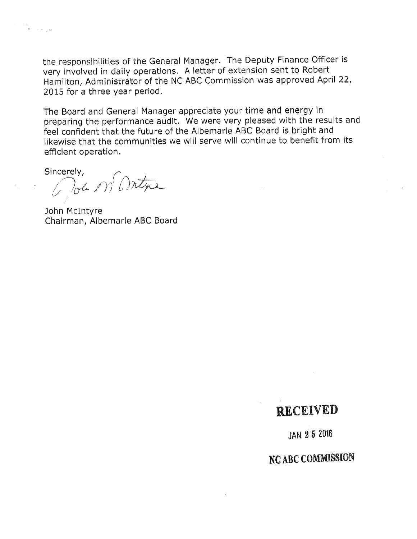the responsibilities of the General Manager. The Deputy Finance Officer is very involved in daily operations. A letter of extension sent to Robert Hamilton, Administrator of the NC ABC Commission was approved April 22, 2015 for a three year period.

The Board and General Manager appreciate your time and energy in preparing the performance audit. We were very pleased with the results and feel confident that the future of the Albemarle ABC Board is bright and likewise that the communities we will serve will continue to benefit from its efficient operation.

Sincerely, Pour M'Antine

 $\label{eq:3.1} \mathfrak{S}_{\mathbb{C}^{\times}}\left(\mathbb{R}^{\times}\right) \rightarrow \mathbb{R}^{\times}\left(\mathbb{R}^{\times}\right)$ 

John McIntyre Chairman, Albemarle ABC Board

## RECEIVED

**JAN 25 2016** 

NC ABC COMMISSION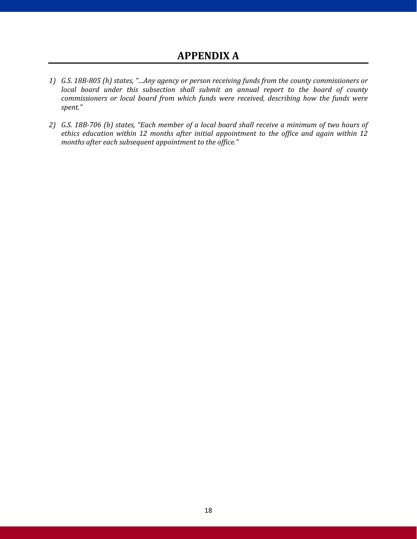- *1) G.S. 18B-805 (h) states, "…Any agency or person receiving funds from the county commissioners or*  local board under this subsection shall submit an annual report to the board of county *commissioners or local board from which funds were received, describing how the funds were spent."*
- *2) G.S. 18B-706 (b) states, "Each member of a local board shall receive a minimum of two hours of ethics education within 12 months after initial appointment to the office and again within 12 months after each subsequent appointment to the office."*